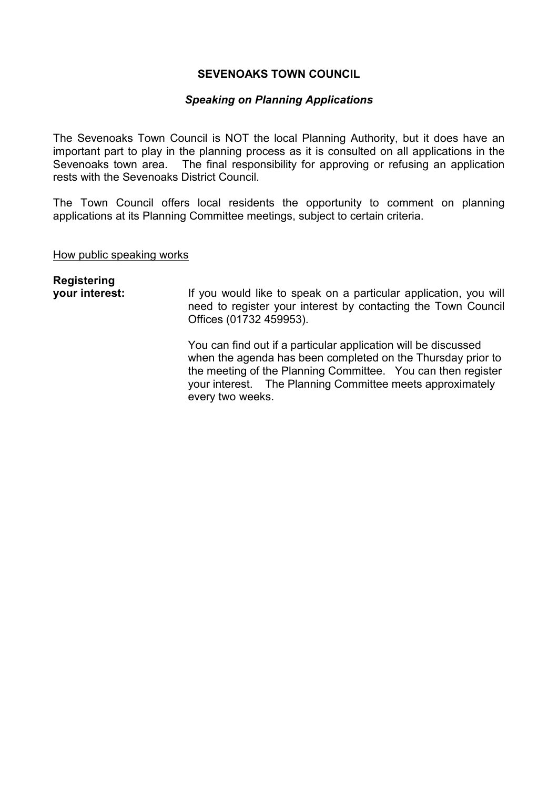## **SEVENOAKS TOWN COUNCIL**

## *Speaking on Planning Applications*

The Sevenoaks Town Council is NOT the local Planning Authority, but it does have an important part to play in the planning process as it is consulted on all applications in the Sevenoaks town area. The final responsibility for approving or refusing an application rests with the Sevenoaks District Council.

The Town Council offers local residents the opportunity to comment on planning applications at its Planning Committee meetings, subject to certain criteria.

How public speaking works

**Registering your interest:** If you would like to speak on a particular application, you will need to register your interest by contacting the Town Council Offices (01732 459953). You can find out if a particular application will be discussed when the agenda has been completed on the Thursday prior to the meeting of the Planning Committee. You can then register your interest. The Planning Committee meets approximately every two weeks.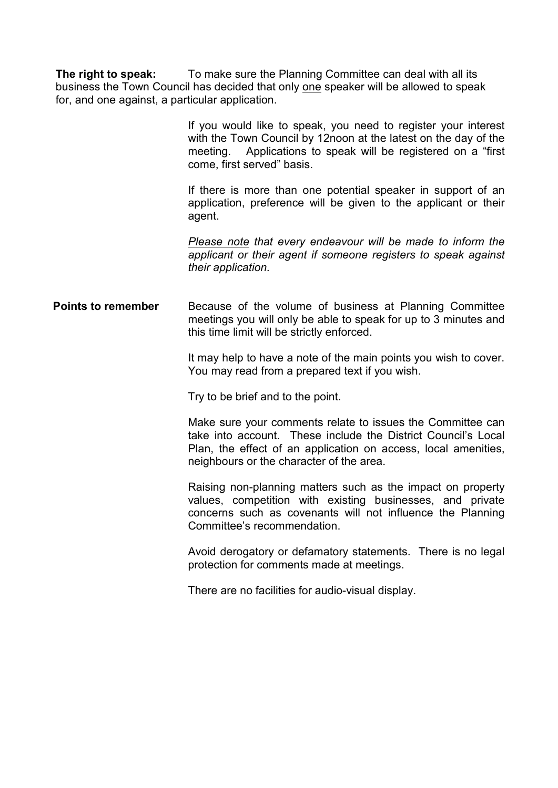**The right to speak:** To make sure the Planning Committee can deal with all its business the Town Council has decided that only one speaker will be allowed to speak for, and one against, a particular application.

> If you would like to speak, you need to register your interest with the Town Council by 12noon at the latest on the day of the meeting. Applications to speak will be registered on a "first come, first served" basis.

> If there is more than one potential speaker in support of an application, preference will be given to the applicant or their agent.

> *Please note that every endeavour will be made to inform the applicant or their agent if someone registers to speak against their application.*

**Points to remember** Because of the volume of business at Planning Committee meetings you will only be able to speak for up to 3 minutes and this time limit will be strictly enforced.

> It may help to have a note of the main points you wish to cover. You may read from a prepared text if you wish.

Try to be brief and to the point.

Make sure your comments relate to issues the Committee can take into account. These include the District Council's Local Plan, the effect of an application on access, local amenities, neighbours or the character of the area.

Raising non-planning matters such as the impact on property values, competition with existing businesses, and private concerns such as covenants will not influence the Planning Committee's recommendation.

Avoid derogatory or defamatory statements. There is no legal protection for comments made at meetings.

There are no facilities for audio-visual display.